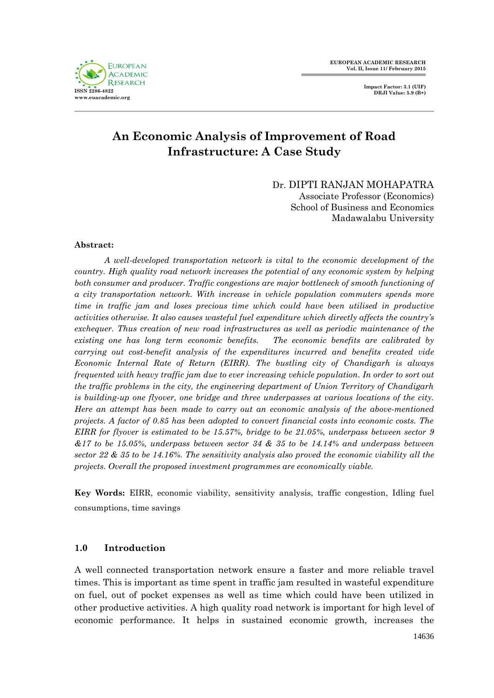

# **An Economic Analysis of Improvement of Road Infrastructure: A Case Study**

Dr. DIPTI RANJAN MOHAPATRA

Associate Professor (Economics) School of Business and Economics Madawalabu University

### **Abstract:**

*A well-developed transportation network is vital to the economic development of the country. High quality road network increases the potential of any economic system by helping both consumer and producer. Traffic congestions are major bottleneck of smooth functioning of a city transportation network. With increase in vehicle population commuters spends more time in traffic jam and loses precious time which could have been utilised in productive activities otherwise. It also causes wasteful fuel expenditure which directly affects the country's exchequer. Thus creation of new road infrastructures as well as periodic maintenance of the existing one has long term economic benefits. The economic benefits are calibrated by carrying out cost-benefit analysis of the expenditures incurred and benefits created vide Economic Internal Rate of Return (EIRR). The bustling city of Chandigarh is always frequented with heavy traffic jam due to ever increasing vehicle population. In order to sort out the traffic problems in the city, the engineering department of Union Territory of Chandigarh is building-up one flyover, one bridge and three underpasses at various locations of the city. Here an attempt has been made to carry out an economic analysis of the above-mentioned projects. A factor of 0.85 has been adopted to convert financial costs into economic costs. The EIRR for flyover is estimated to be 15.57%, bridge to be 21.05%, underpass between sector 9 &17 to be 15.05%, underpass between sector 34 & 35 to be 14.14% and underpass between sector 22 & 35 to be 14.16%. The sensitivity analysis also proved the economic viability all the projects. Overall the proposed investment programmes are economically viable.*

**Key Words:** EIRR, economic viability, sensitivity analysis, traffic congestion, Idling fuel consumptions, time savings

# **1.0 Introduction**

A well connected transportation network ensure a faster and more reliable travel times. This is important as time spent in traffic jam resulted in wasteful expenditure on fuel, out of pocket expenses as well as time which could have been utilized in other productive activities. A high quality road network is important for high level of economic performance. It helps in sustained economic growth, increases the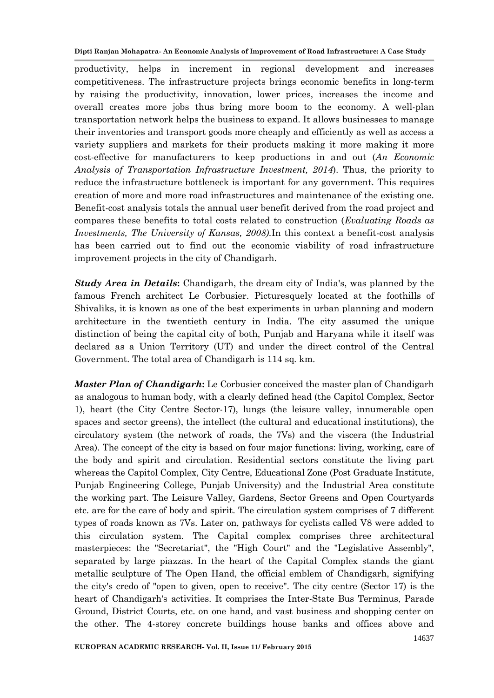productivity, helps in increment in regional development and increases competitiveness. The infrastructure projects brings economic benefits in long-term by raising the productivity, innovation, lower prices, increases the income and overall creates more jobs thus bring more boom to the economy. A well-plan transportation network helps the business to expand. It allows businesses to manage their inventories and transport goods more cheaply and efficiently as well as access a variety suppliers and markets for their products making it more making it more cost-effective for manufacturers to keep productions in and out (*An Economic Analysis of Transportation Infrastructure Investment, 2014*). Thus, the priority to reduce the infrastructure bottleneck is important for any government. This requires creation of more and more road infrastructures and maintenance of the existing one. Benefit-cost analysis totals the annual user benefit derived from the road project and compares these benefits to total costs related to construction (*Evaluating Roads as Investments, The University of Kansas, 2008).*In this context a benefit-cost analysis has been carried out to find out the economic viability of road infrastructure improvement projects in the city of Chandigarh.

*Study Area in Details***:** Chandigarh, the dream city of India's, was planned by the famous French architect Le Corbusier. Picturesquely located at the foothills of Shivaliks, it is known as one of the best experiments in urban planning and modern architecture in the twentieth century in India. The city assumed the unique distinction of being the capital city of both, Punjab and Haryana while it itself was declared as a Union Territory (UT) and under the direct control of the Central Government. The total area of Chandigarh is 114 sq. km.

*Master Plan of Chandigarh***:** Le Corbusier conceived the master plan of Chandigarh as analogous to human body, with a clearly defined head (the Capitol Complex, Sector 1), heart (the City Centre Sector-17), lungs (the leisure valley, innumerable open spaces and sector greens), the intellect (the cultural and educational institutions), the circulatory system (the network of roads, the 7Vs) and the viscera (the Industrial Area). The concept of the city is based on four major functions: living, working, care of the body and spirit and circulation. Residential sectors constitute the living part whereas the Capitol Complex, City Centre, Educational Zone (Post Graduate Institute, Punjab Engineering College, Punjab University) and the Industrial Area constitute the working part. The Leisure Valley, Gardens, Sector Greens and Open Courtyards etc. are for the care of body and spirit. The circulation system comprises of 7 different types of roads known as 7Vs. Later on, pathways for cyclists called V8 were added to this circulation system. The Capital complex comprises three architectural masterpieces: the "Secretariat", the "High Court" and the "Legislative Assembly", separated by large piazzas. In the heart of the Capital Complex stands the giant metallic sculpture of The Open Hand, the official emblem of Chandigarh, signifying the city's credo of "open to given, open to receive". The city centre (Sector 17) is the heart of Chandigarh's activities. It comprises the Inter-State Bus Terminus, Parade Ground, District Courts, etc. on one hand, and vast business and shopping center on the other. The 4-storey concrete buildings house banks and offices above and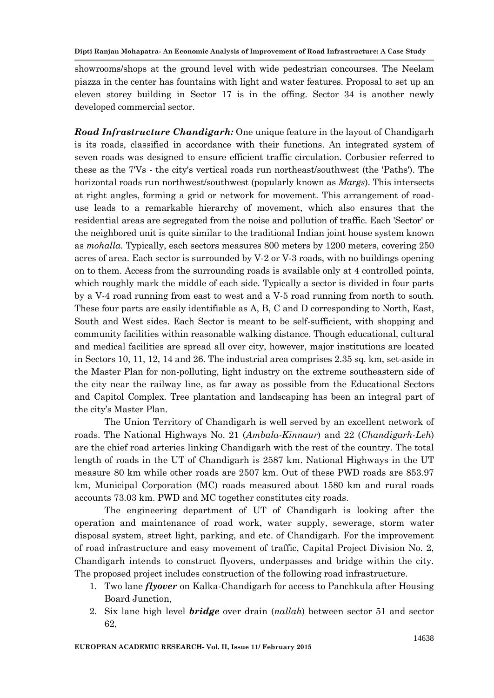showrooms/shops at the ground level with wide pedestrian concourses. The Neelam piazza in the center has fountains with light and water features. Proposal to set up an eleven storey building in Sector 17 is in the offing. Sector 34 is another newly developed commercial sector.

*Road Infrastructure Chandigarh:* One unique feature in the layout of Chandigarh is its roads, classified in accordance with their functions. An integrated system of seven roads was designed to ensure efficient traffic circulation. Corbusier referred to these as the 7'Vs - the city's vertical roads run northeast/southwest (the 'Paths'). The horizontal roads run northwest/southwest (popularly known as *Margs*). This intersects at right angles, forming a grid or network for movement. This arrangement of roaduse leads to a remarkable hierarchy of movement, which also ensures that the residential areas are segregated from the noise and pollution of traffic. Each 'Sector' or the neighbored unit is quite similar to the traditional Indian joint house system known as *mohalla*. Typically, each sectors measures 800 meters by 1200 meters, covering 250 acres of area. Each sector is surrounded by V-2 or V-3 roads, with no buildings opening on to them. Access from the surrounding roads is available only at 4 controlled points, which roughly mark the middle of each side. Typically a sector is divided in four parts by a V-4 road running from east to west and a V-5 road running from north to south. These four parts are easily identifiable as A, B, C and D corresponding to North, East, South and West sides. Each Sector is meant to be self-sufficient, with shopping and community facilities within reasonable walking distance. Though educational, cultural and medical facilities are spread all over city, however, major institutions are located in Sectors 10, 11, 12, 14 and 26. The industrial area comprises 2.35 sq. km, set-aside in the Master Plan for non-polluting, light industry on the extreme southeastern side of the city near the railway line, as far away as possible from the Educational Sectors and Capitol Complex. Tree plantation and landscaping has been an integral part of the city"s Master Plan.

The Union Territory of Chandigarh is well served by an excellent network of roads. The National Highways No. 21 (*Ambala-Kinnaur*) and 22 (*Chandigarh-Leh*) are the chief road arteries linking Chandigarh with the rest of the country. The total length of roads in the UT of Chandigarh is 2587 km. National Highways in the UT measure 80 km while other roads are 2507 km. Out of these PWD roads are 853.97 km, Municipal Corporation (MC) roads measured about 1580 km and rural roads accounts 73.03 km. PWD and MC together constitutes city roads.

The engineering department of UT of Chandigarh is looking after the operation and maintenance of road work, water supply, sewerage, storm water disposal system, street light, parking, and etc. of Chandigarh. For the improvement of road infrastructure and easy movement of traffic, Capital Project Division No. 2, Chandigarh intends to construct flyovers, underpasses and bridge within the city. The proposed project includes construction of the following road infrastructure.

- 1. Two lane *flyover* on Kalka-Chandigarh for access to Panchkula after Housing Board Junction,
- 2. Six lane high level *bridge* over drain (*nallah*) between sector 51 and sector 62,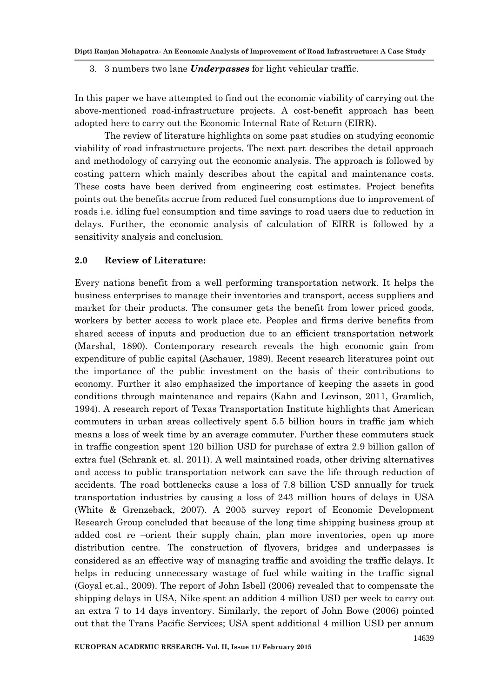3. 3 numbers two lane *Underpasses* for light vehicular traffic.

In this paper we have attempted to find out the economic viability of carrying out the above-mentioned road-infrastructure projects. A cost-benefit approach has been adopted here to carry out the Economic Internal Rate of Return (EIRR).

The review of literature highlights on some past studies on studying economic viability of road infrastructure projects. The next part describes the detail approach and methodology of carrying out the economic analysis. The approach is followed by costing pattern which mainly describes about the capital and maintenance costs. These costs have been derived from engineering cost estimates. Project benefits points out the benefits accrue from reduced fuel consumptions due to improvement of roads i.e. idling fuel consumption and time savings to road users due to reduction in delays. Further, the economic analysis of calculation of EIRR is followed by a sensitivity analysis and conclusion.

### **2.0 Review of Literature:**

Every nations benefit from a well performing transportation network. It helps the business enterprises to manage their inventories and transport, access suppliers and market for their products. The consumer gets the benefit from lower priced goods, workers by better access to work place etc. Peoples and firms derive benefits from shared access of inputs and production due to an efficient transportation network (Marshal, 1890). Contemporary research reveals the high economic gain from expenditure of public capital (Aschauer, 1989). Recent research literatures point out the importance of the public investment on the basis of their contributions to economy. Further it also emphasized the importance of keeping the assets in good conditions through maintenance and repairs (Kahn and Levinson, 2011, Gramlich, 1994). A research report of Texas Transportation Institute highlights that American commuters in urban areas collectively spent 5.5 billion hours in traffic jam which means a loss of week time by an average commuter. Further these commuters stuck in traffic congestion spent 120 billion USD for purchase of extra 2.9 billion gallon of extra fuel (Schrank et. al. 2011). A well maintained roads, other driving alternatives and access to public transportation network can save the life through reduction of accidents. The road bottlenecks cause a loss of 7.8 billion USD annually for truck transportation industries by causing a loss of 243 million hours of delays in USA (White & Grenzeback, 2007). A 2005 survey report of Economic Development Research Group concluded that because of the long time shipping business group at added cost re –orient their supply chain, plan more inventories, open up more distribution centre. The construction of flyovers, bridges and underpasses is considered as an effective way of managing traffic and avoiding the traffic delays. It helps in reducing unnecessary wastage of fuel while waiting in the traffic signal (Goyal et.al., 2009). The report of John Isbell (2006) revealed that to compensate the shipping delays in USA, Nike spent an addition 4 million USD per week to carry out an extra 7 to 14 days inventory. Similarly, the report of John Bowe (2006) pointed out that the Trans Pacific Services; USA spent additional 4 million USD per annum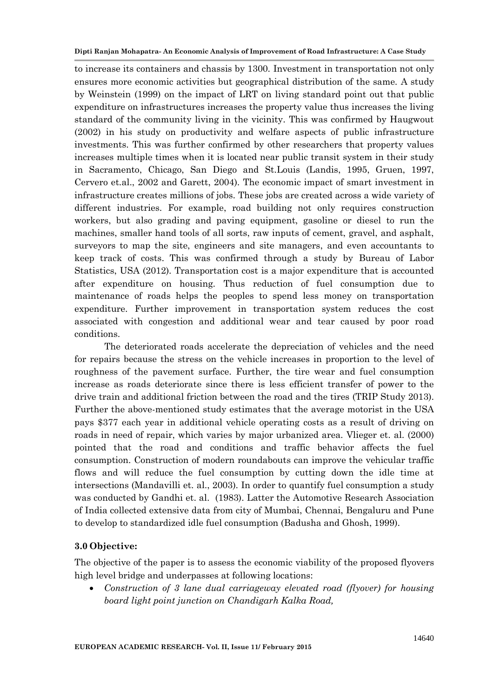to increase its containers and chassis by 1300. Investment in transportation not only ensures more economic activities but geographical distribution of the same. A study by Weinstein (1999) on the impact of LRT on living standard point out that public expenditure on infrastructures increases the property value thus increases the living standard of the community living in the vicinity. This was confirmed by Haugwout (2002) in his study on productivity and welfare aspects of public infrastructure investments. This was further confirmed by other researchers that property values increases multiple times when it is located near public transit system in their study in Sacramento, Chicago, San Diego and St.Louis (Landis, 1995, Gruen, 1997, Cervero et.al., 2002 and Garett, 2004). The economic impact of smart investment in infrastructure creates millions of jobs. These jobs are created across a wide variety of different industries. For example, road building not only requires construction workers, but also grading and paving equipment, gasoline or diesel to run the machines, smaller hand tools of all sorts, raw inputs of cement, gravel, and asphalt, surveyors to map the site, engineers and site managers, and even accountants to keep track of costs. This was confirmed through a study by Bureau of Labor Statistics, USA (2012). Transportation cost is a major expenditure that is accounted after expenditure on housing. Thus reduction of fuel consumption due to maintenance of roads helps the peoples to spend less money on transportation expenditure. Further improvement in transportation system reduces the cost associated with congestion and additional wear and tear caused by poor road conditions.

The deteriorated roads accelerate the depreciation of vehicles and the need for repairs because the stress on the vehicle increases in proportion to the level of roughness of the pavement surface. Further, the tire wear and fuel consumption increase as roads deteriorate since there is less efficient transfer of power to the drive train and additional friction between the road and the tires (TRIP Study 2013). Further the above-mentioned study estimates that the average motorist in the USA pays \$377 each year in additional vehicle operating costs as a result of driving on roads in need of repair, which varies by major urbanized area. Vlieger et. al. (2000) pointed that the road and conditions and traffic behavior affects the fuel consumption. Construction of modern roundabouts can improve the vehicular traffic flows and will reduce the fuel consumption by cutting down the idle time at intersections (Mandavilli et. al., 2003). In order to quantify fuel consumption a study was conducted by Gandhi et. al. (1983). Latter the Automotive Research Association of India collected extensive data from city of Mumbai, Chennai, Bengaluru and Pune to develop to standardized idle fuel consumption (Badusha and Ghosh, 1999).

# **3.0 Objective:**

The objective of the paper is to assess the economic viability of the proposed flyovers high level bridge and underpasses at following locations:

 *Construction of 3 lane dual carriageway elevated road (flyover) for housing board light point junction on Chandigarh Kalka Road,*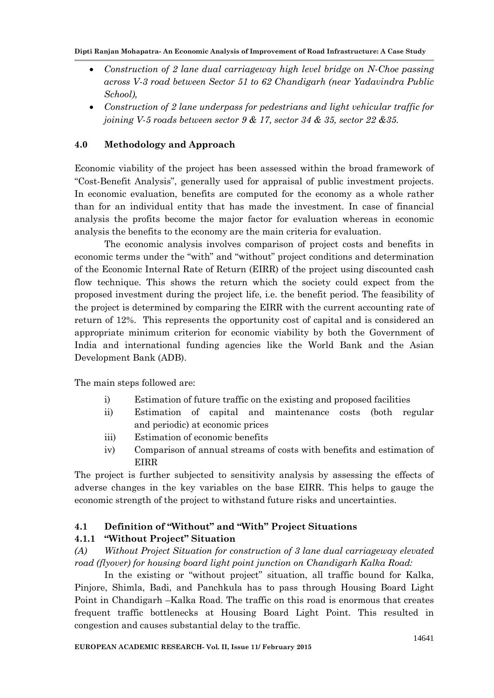- *Construction of 2 lane dual carriageway high level bridge on N-Choe passing across V-3 road between Sector 51 to 62 Chandigarh (near Yadavindra Public School),*
- *Construction of 2 lane underpass for pedestrians and light vehicular traffic for joining V-5 roads between sector 9 & 17, sector 34 & 35, sector 22 &35.*

# **4.0 Methodology and Approach**

Economic viability of the project has been assessed within the broad framework of "Cost-Benefit Analysis", generally used for appraisal of public investment projects. In economic evaluation, benefits are computed for the economy as a whole rather than for an individual entity that has made the investment. In case of financial analysis the profits become the major factor for evaluation whereas in economic analysis the benefits to the economy are the main criteria for evaluation.

The economic analysis involves comparison of project costs and benefits in economic terms under the "with" and "without" project conditions and determination of the Economic Internal Rate of Return (EIRR) of the project using discounted cash flow technique. This shows the return which the society could expect from the proposed investment during the project life, i.e. the benefit period. The feasibility of the project is determined by comparing the EIRR with the current accounting rate of return of 12%. This represents the opportunity cost of capital and is considered an appropriate minimum criterion for economic viability by both the Government of India and international funding agencies like the World Bank and the Asian Development Bank (ADB).

The main steps followed are:

- i) Estimation of future traffic on the existing and proposed facilities
- ii) Estimation of capital and maintenance costs (both regular and periodic) at economic prices
- iii) Estimation of economic benefits
- iv) Comparison of annual streams of costs with benefits and estimation of EIRR

The project is further subjected to sensitivity analysis by assessing the effects of adverse changes in the key variables on the base EIRR. This helps to gauge the economic strength of the project to withstand future risks and uncertainties.

### **4.1 Definition of "Without" and "With" Project Situations**

### **4.1.1 "Without Project" Situation**

*(A) Without Project Situation for construction of 3 lane dual carriageway elevated road (flyover) for housing board light point junction on Chandigarh Kalka Road:*

In the existing or "without project" situation, all traffic bound for Kalka, Pinjore, Shimla, Badi, and Panchkula has to pass through Housing Board Light Point in Chandigarh –Kalka Road. The traffic on this road is enormous that creates frequent traffic bottlenecks at Housing Board Light Point. This resulted in congestion and causes substantial delay to the traffic.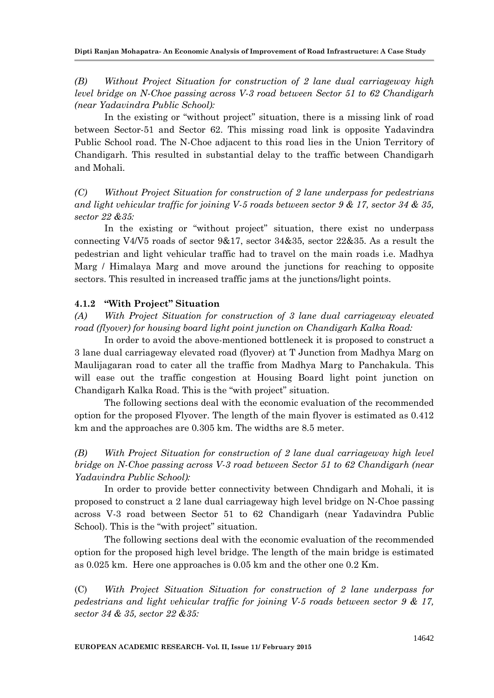*(B) Without Project Situation for construction of 2 lane dual carriageway high level bridge on N-Choe passing across V-3 road between Sector 51 to 62 Chandigarh (near Yadavindra Public School):*

In the existing or "without project" situation, there is a missing link of road between Sector-51 and Sector 62. This missing road link is opposite Yadavindra Public School road. The N-Choe adjacent to this road lies in the Union Territory of Chandigarh. This resulted in substantial delay to the traffic between Chandigarh and Mohali.

*(C) Without Project Situation for construction of 2 lane underpass for pedestrians and light vehicular traffic for joining V-5 roads between sector 9 & 17, sector 34 & 35, sector 22 &35:*

In the existing or "without project" situation, there exist no underpass connecting V4/V5 roads of sector 9&17, sector 34&35, sector 22&35. As a result the pedestrian and light vehicular traffic had to travel on the main roads i.e. Madhya Marg / Himalaya Marg and move around the junctions for reaching to opposite sectors. This resulted in increased traffic jams at the junctions/light points.

### **4.1.2 "With Project" Situation**

*(A) With Project Situation for construction of 3 lane dual carriageway elevated road (flyover) for housing board light point junction on Chandigarh Kalka Road:*

In order to avoid the above-mentioned bottleneck it is proposed to construct a 3 lane dual carriageway elevated road (flyover) at T Junction from Madhya Marg on Maulijagaran road to cater all the traffic from Madhya Marg to Panchakula. This will ease out the traffic congestion at Housing Board light point junction on Chandigarh Kalka Road. This is the "with project" situation.

The following sections deal with the economic evaluation of the recommended option for the proposed Flyover. The length of the main flyover is estimated as 0.412 km and the approaches are 0.305 km. The widths are 8.5 meter.

*(B) With Project Situation for construction of 2 lane dual carriageway high level bridge on N-Choe passing across V-3 road between Sector 51 to 62 Chandigarh (near Yadavindra Public School):*

In order to provide better connectivity between Chndigarh and Mohali, it is proposed to construct a 2 lane dual carriageway high level bridge on N-Choe passing across V-3 road between Sector 51 to 62 Chandigarh (near Yadavindra Public School). This is the "with project" situation.

The following sections deal with the economic evaluation of the recommended option for the proposed high level bridge. The length of the main bridge is estimated as 0.025 km. Here one approaches is 0.05 km and the other one 0.2 Km.

(C) *With Project Situation Situation for construction of 2 lane underpass for pedestrians and light vehicular traffic for joining V-5 roads between sector 9 & 17, sector 34 & 35, sector 22 &35:*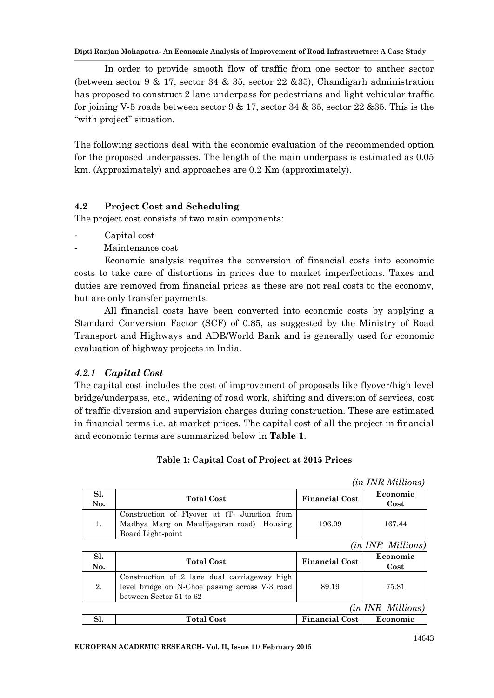In order to provide smooth flow of traffic from one sector to anther sector (between sector 9 & 17, sector 34 & 35, sector 22 &35), Chandigarh administration has proposed to construct 2 lane underpass for pedestrians and light vehicular traffic for joining V-5 roads between sector  $9 \& 17$ , sector  $34 \& 35$ , sector  $22 \& 35$ . This is the "with project" situation.

The following sections deal with the economic evaluation of the recommended option for the proposed underpasses. The length of the main underpass is estimated as 0.05 km. (Approximately) and approaches are 0.2 Km (approximately).

# **4.2 Project Cost and Scheduling**

The project cost consists of two main components:

- Capital cost
- Maintenance cost

Economic analysis requires the conversion of financial costs into economic costs to take care of distortions in prices due to market imperfections. Taxes and duties are removed from financial prices as these are not real costs to the economy, but are only transfer payments.

All financial costs have been converted into economic costs by applying a Standard Conversion Factor (SCF) of 0.85, as suggested by the Ministry of Road Transport and Highways and ADB/World Bank and is generally used for economic evaluation of highway projects in India.

# *4.2.1 Capital Cost*

The capital cost includes the cost of improvement of proposals like flyover/high level bridge/underpass, etc., widening of road work, shifting and diversion of services, cost of traffic diversion and supervision charges during construction. These are estimated in financial terms i.e. at market prices. The capital cost of all the project in financial and economic terms are summarized below in **Table 1**.

| Sl.<br>No. | <b>Total Cost</b>                                                                                              | <b>Financial Cost</b> | Economic<br>Cost         |
|------------|----------------------------------------------------------------------------------------------------------------|-----------------------|--------------------------|
|            | Construction of Flyover at (T- Junction from<br>Madhya Marg on Maulijagaran road) Housing<br>Board Light-point | 196.99                | 167.44                   |
|            |                                                                                                                |                       | <i>(in INR Millions)</i> |

|  | Table 1: Capital Cost of Project at 2015 Prices |  |
|--|-------------------------------------------------|--|
|--|-------------------------------------------------|--|

*(in INR Millions)*

| Sl.<br>No.               | <b>Total Cost</b>                                                                                                         | <b>Financial Cost</b> | Economic<br>Cost |
|--------------------------|---------------------------------------------------------------------------------------------------------------------------|-----------------------|------------------|
| 2.                       | Construction of 2 lane dual carriageway high<br>level bridge on N-Choe passing across V-3 road<br>between Sector 51 to 62 | 89.19                 | 75.81            |
| <i>(in INR Millions)</i> |                                                                                                                           |                       |                  |
|                          | <b>Total Cost</b>                                                                                                         | <b>Financial Cost</b> | Economic         |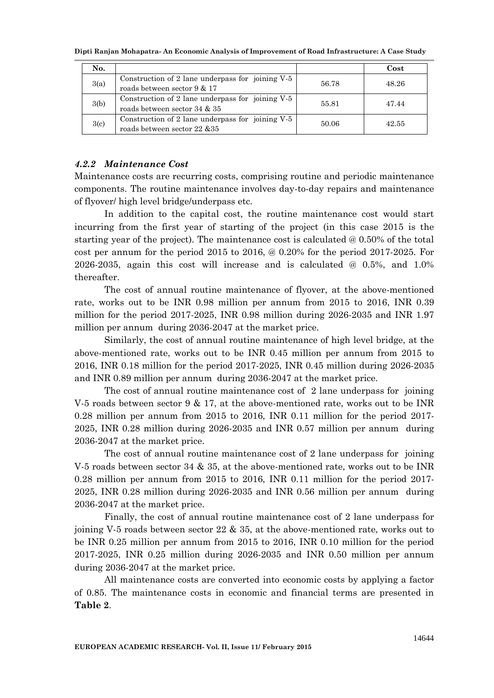| No.  |                                                                                  |       | Cost  |
|------|----------------------------------------------------------------------------------|-------|-------|
| 3(a) | Construction of 2 lane underpass for joining V-5<br>roads between sector 9 & 17  | 56.78 | 48.26 |
| 3(b) | Construction of 2 lane underpass for joining V-5<br>roads between sector 34 & 35 | 55.81 | 47.44 |
| 3(c) | Construction of 2 lane underpass for joining V-5<br>roads between sector 22 & 35 | 50.06 | 42.55 |

### *4.2.2 Maintenance Cost*

Maintenance costs are recurring costs, comprising routine and periodic maintenance components. The routine maintenance involves day-to-day repairs and maintenance of flyover/ high level bridge/underpass etc.

In addition to the capital cost, the routine maintenance cost would start incurring from the first year of starting of the project (in this case 2015 is the starting year of the project). The maintenance cost is calculated @ 0.50% of the total cost per annum for the period 2015 to 2016, @ 0.20% for the period 2017-2025. For 2026-2035, again this cost will increase and is calculated @ 0.5%, and 1.0% thereafter.

The cost of annual routine maintenance of flyover, at the above-mentioned rate, works out to be INR 0.98 million per annum from 2015 to 2016, INR 0.39 million for the period 2017-2025, INR 0.98 million during 2026-2035 and INR 1.97 million per annum during 2036-2047 at the market price.

Similarly, the cost of annual routine maintenance of high level bridge, at the above-mentioned rate, works out to be INR 0.45 million per annum from 2015 to 2016, INR 0.18 million for the period 2017-2025, INR 0.45 million during 2026-2035 and INR 0.89 million per annum during 2036-2047 at the market price.

The cost of annual routine maintenance cost of 2 lane underpass for joining V-5 roads between sector 9 & 17, at the above-mentioned rate, works out to be INR 0.28 million per annum from 2015 to 2016, INR 0.11 million for the period 2017- 2025, INR 0.28 million during 2026-2035 and INR 0.57 million per annum during 2036-2047 at the market price.

The cost of annual routine maintenance cost of 2 lane underpass for joining V-5 roads between sector 34 & 35, at the above-mentioned rate, works out to be INR 0.28 million per annum from 2015 to 2016, INR 0.11 million for the period 2017- 2025, INR 0.28 million during 2026-2035 and INR 0.56 million per annum during 2036-2047 at the market price.

Finally, the cost of annual routine maintenance cost of 2 lane underpass for joining V-5 roads between sector 22 & 35, at the above-mentioned rate, works out to be INR 0.25 million per annum from 2015 to 2016, INR 0.10 million for the period 2017-2025, INR 0.25 million during 2026-2035 and INR 0.50 million per annum during 2036-2047 at the market price.

All maintenance costs are converted into economic costs by applying a factor of 0.85. The maintenance costs in economic and financial terms are presented in **Table 2**.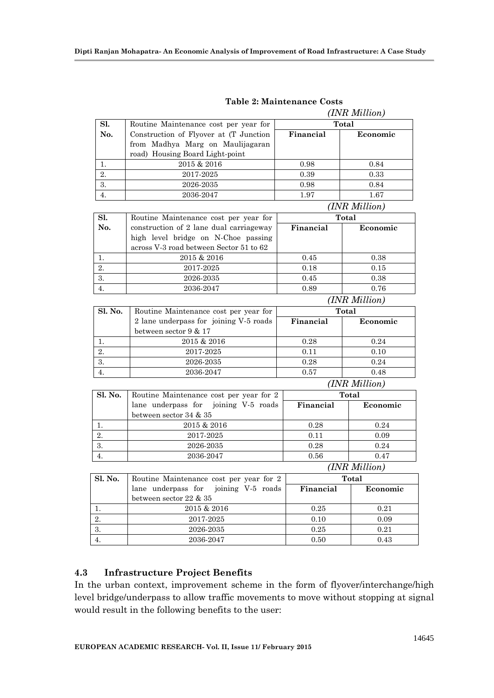|         |                                         |               | (INR Million) |
|---------|-----------------------------------------|---------------|---------------|
| Sl.     | Routine Maintenance cost per year for   | <b>Total</b>  |               |
| No.     | Construction of Flyover at (T Junction  | Financial     | Economic      |
|         | from Madhya Marg on Maulijagaran        |               |               |
|         | road) Housing Board Light-point         |               |               |
| 1.      | 2015 & 2016                             | 0.98          | 0.84          |
| 2.      | 2017-2025                               | 0.39          | 0.33          |
| 3.      | 2026-2035                               | 0.98          | 0.84          |
| 4.      | 2036-2047                               | 1.97          | 1.67          |
|         |                                         |               | (INR Million) |
| SI.     | Routine Maintenance cost per year for   | <b>Total</b>  |               |
| No.     | construction of 2 lane dual carriageway | Financial     | Economic      |
|         | high level bridge on N-Choe passing     |               |               |
|         | across V-3 road between Sector 51 to 62 |               |               |
| 1.      | 2015 & 2016                             | 0.45          | 0.38          |
| 2.      | 2017-2025                               | 0.18          | 0.15          |
| 3.      | 2026-2035                               | 0.45          | 0.38          |
| 4.      | 2036-2047                               | 0.89          | 0.76          |
|         | (INR Million)                           |               |               |
| Sl. No. | Routine Maintenance cost per year for   | Total         |               |
|         | 2 lane underpass for joining V-5 roads  | Financial     | Economic      |
|         | between sector 9 & 17                   |               |               |
| 1.      | 2015 & 2016                             | 0.28          | 0.24          |
| 2.      | 2017-2025                               | 0.11          | 0.10          |
| 3.      | 2026-2035                               | 0.28          | 0.24          |
| 4.      | 2036-2047                               | 0.57          | 0.48          |
|         |                                         | (INR Million) |               |
| Sl. No. | Routine Maintenance cost per year for 2 |               | <b>Total</b>  |
|         | lane underpass for joining V-5 roads    | Financial     | Economic      |
|         | between sector 34 & 35                  |               |               |
| 1.      | 2015 & 2016                             | 0.28          | 0.24          |
| 2.      | 2017-2025                               | 0.11          | 0.09          |
| 3.      | 2026-2035                               | 0.28          | 0.24          |
| 4.      | 2036-2047                               | 0.56          | 0.47          |
|         |                                         |               | (INR Million) |
| Sl. No. | Routine Maintenance cost per year for 2 | <b>Total</b>  |               |
|         | lane underpass for<br>joining V-5 roads | Financial     | Economic      |
|         | between sector 22 & 35                  |               |               |
| 1.      | $2015\ \&\ 2016$                        | $\rm 0.25$    | 0.21          |
| 2.      | 2017-2025                               | 0.10          | 0.09          |
| 3.      | 2026-2035                               | $\rm 0.25$    | 0.21          |
| 4.      | 2036-2047                               | $0.50\,$      | $\rm 0.43$    |

**Table 2: Maintenance Costs**

# **4.3 Infrastructure Project Benefits**

In the urban context, improvement scheme in the form of flyover/interchange/high level bridge/underpass to allow traffic movements to move without stopping at signal would result in the following benefits to the user: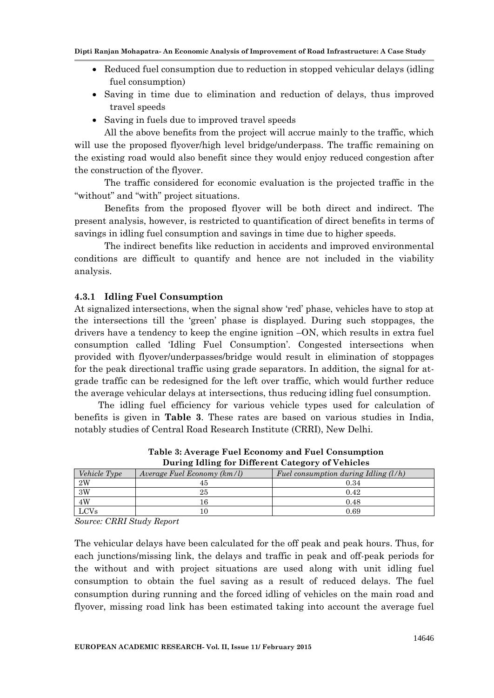- Reduced fuel consumption due to reduction in stopped vehicular delays (idling fuel consumption)
- Saving in time due to elimination and reduction of delays, thus improved travel speeds
- Saving in fuels due to improved travel speeds

All the above benefits from the project will accrue mainly to the traffic, which will use the proposed flyover/high level bridge/underpass. The traffic remaining on the existing road would also benefit since they would enjoy reduced congestion after the construction of the flyover.

The traffic considered for economic evaluation is the projected traffic in the "without" and "with" project situations.

Benefits from the proposed flyover will be both direct and indirect. The present analysis, however, is restricted to quantification of direct benefits in terms of savings in idling fuel consumption and savings in time due to higher speeds.

The indirect benefits like reduction in accidents and improved environmental conditions are difficult to quantify and hence are not included in the viability analysis.

### **4.3.1 Idling Fuel Consumption**

At signalized intersections, when the signal show "red" phase, vehicles have to stop at the intersections till the "green" phase is displayed. During such stoppages, the drivers have a tendency to keep the engine ignition –ON, which results in extra fuel consumption called "Idling Fuel Consumption". Congested intersections when provided with flyover/underpasses/bridge would result in elimination of stoppages for the peak directional traffic using grade separators. In addition, the signal for atgrade traffic can be redesigned for the left over traffic, which would further reduce the average vehicular delays at intersections, thus reducing idling fuel consumption.

The idling fuel efficiency for various vehicle types used for calculation of benefits is given in **Table 3**. These rates are based on various studies in India, notably studies of Central Road Research Institute (CRRI), New Delhi.

| <i>Vehicle Type</i> | Average Fuel Economy (km/l) | Fuel consumption during Idling $(l/h)$ |  |
|---------------------|-----------------------------|----------------------------------------|--|
| $2\mathrm{W}$       |                             | 0.34                                   |  |
| 3W                  | 25                          | 0.42                                   |  |
| $4\rm{W}$           |                             | 0.48                                   |  |
| <b>LCVs</b>         |                             | 0.69                                   |  |

**Table 3: Average Fuel Economy and Fuel Consumption During Idling for Different Category of Vehicles**

*Source: CRRI Study Report*

The vehicular delays have been calculated for the off peak and peak hours. Thus, for each junctions/missing link, the delays and traffic in peak and off-peak periods for the without and with project situations are used along with unit idling fuel consumption to obtain the fuel saving as a result of reduced delays. The fuel consumption during running and the forced idling of vehicles on the main road and flyover, missing road link has been estimated taking into account the average fuel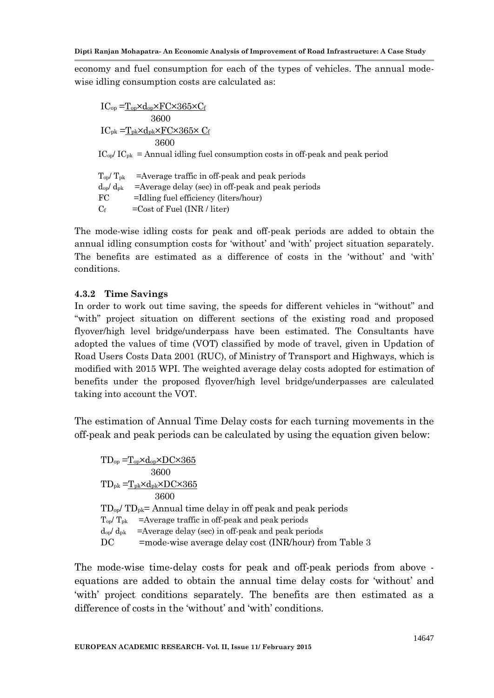economy and fuel consumption for each of the types of vehicles. The annual modewise idling consumption costs are calculated as:

 $IC_{op} = T_{op} \times d_{op} \times FC \times 365 \times C_f$  3600  $IC_{pk} = T_{pk} \times d_{pk} \times FC \times 365 \times C_f$  3600  $IC_{\text{op}}/IC_{\text{pk}} =$  Annual idling fuel consumption costs in off-peak and peak period  $T_{op}/T_{pk}$  =Average traffic in off-peak and peak periods  $d_{op}/ d_{pk}$  =Average delay (sec) in off-peak and peak periods FC =Idling fuel efficiency (liters/hour)  $C_f$  = Cost of Fuel (INR / liter)

The mode-wise idling costs for peak and off-peak periods are added to obtain the annual idling consumption costs for 'without' and 'with' project situation separately. The benefits are estimated as a difference of costs in the 'without' and 'with' conditions.

# **4.3.2 Time Savings**

In order to work out time saving, the speeds for different vehicles in "without" and "with" project situation on different sections of the existing road and proposed flyover/high level bridge/underpass have been estimated. The Consultants have adopted the values of time (VOT) classified by mode of travel, given in Updation of Road Users Costs Data 2001 (RUC), of Ministry of Transport and Highways, which is modified with 2015 WPI. The weighted average delay costs adopted for estimation of benefits under the proposed flyover/high level bridge/underpasses are calculated taking into account the VOT.

The estimation of Annual Time Delay costs for each turning movements in the off-peak and peak periods can be calculated by using the equation given below:

$$
TD_{op} = \underline{T_{op} \times d_{op} \times DC \times 365}
$$
  
\n
$$
3600
$$
  
\n
$$
TD_{pk} = \underline{T_{pk} \times d_{pk} \times DC \times 365}
$$
  
\n
$$
3600
$$
  
\n
$$
TD_{op} / TD_{pk} = \text{Annual time delay in off peak and peak periods}
$$
  
\n
$$
T_{op} / T_{pk} = \text{Average traffic in off-peak and peak periods}
$$
  
\n
$$
d_{op} / d_{pk} = \text{Average delay (sec) in off-peak and peak periods}
$$
  
\n
$$
DC = mode-wise average delay cost (INR/hour) from Table 3
$$

The mode-wise time-delay costs for peak and off-peak periods from above equations are added to obtain the annual time delay costs for "without" and "with" project conditions separately. The benefits are then estimated as a difference of costs in the 'without' and 'with' conditions.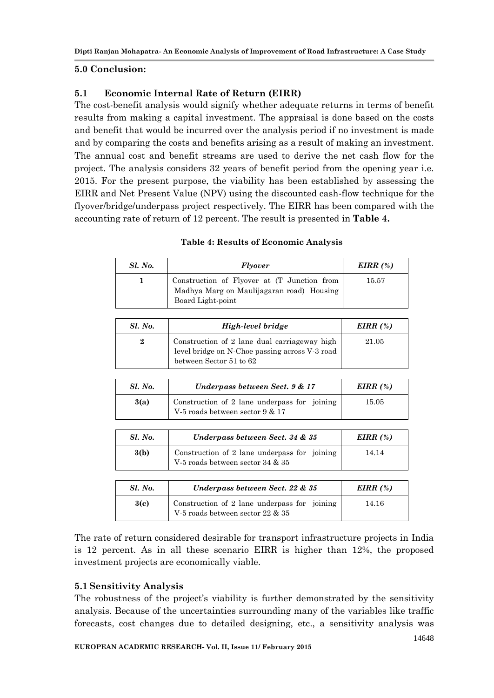# **5.0 Conclusion:**

# **5.1 Economic Internal Rate of Return (EIRR)**

The cost-benefit analysis would signify whether adequate returns in terms of benefit results from making a capital investment. The appraisal is done based on the costs and benefit that would be incurred over the analysis period if no investment is made and by comparing the costs and benefits arising as a result of making an investment. The annual cost and benefit streams are used to derive the net cash flow for the project. The analysis considers 32 years of benefit period from the opening year i.e. 2015. For the present purpose, the viability has been established by assessing the EIRR and Net Present Value (NPV) using the discounted cash-flow technique for the flyover/bridge/underpass project respectively. The EIRR has been compared with the accounting rate of return of 12 percent. The result is presented in **Table 4.**

| Sl. No. | <b>Flyover</b>                                                                                                | EIRR $(\%)$ |
|---------|---------------------------------------------------------------------------------------------------------------|-------------|
|         | Construction of Flyover at (T Junction from<br>Madhya Marg on Maulijagaran road) Housing<br>Board Light-point | 15.57       |

### **Table 4: Results of Economic Analysis**

| <b>Sl. No.</b> | High-level bridge                                                                                                         | $EIRR(\%)$ |
|----------------|---------------------------------------------------------------------------------------------------------------------------|------------|
| 2              | Construction of 2 lane dual carriageway high<br>level bridge on N-Choe passing across V-3 road<br>between Sector 51 to 62 | 21.05      |

| Sl. No. | Underpass between Sect. 9 & 17                                                  | EIRR $(%)$ |
|---------|---------------------------------------------------------------------------------|------------|
| 3(a)    | Construction of 2 lane underpass for joining<br>V-5 roads between sector 9 & 17 | 15.05      |

| <b>Sl. No.</b> | Underpass between Sect. 34 & 35                                                  | EIRR $(\%)$ |
|----------------|----------------------------------------------------------------------------------|-------------|
| 3(b)           | Construction of 2 lane underpass for joining<br>V-5 roads between sector 34 & 35 |             |
|                |                                                                                  |             |
| <i>Sl. No.</i> | Underpass between Sect. 22 & 35                                                  | $EIRR(\%)$  |
| 3(c)           | Construction of 2 lane underpass for joining<br>V-5 roads between sector 22 & 35 | 14.16       |

The rate of return considered desirable for transport infrastructure projects in India is 12 percent. As in all these scenario EIRR is higher than 12%, the proposed investment projects are economically viable.

# **5.1 Sensitivity Analysis**

The robustness of the project's viability is further demonstrated by the sensitivity analysis. Because of the uncertainties surrounding many of the variables like traffic forecasts, cost changes due to detailed designing, etc., a sensitivity analysis was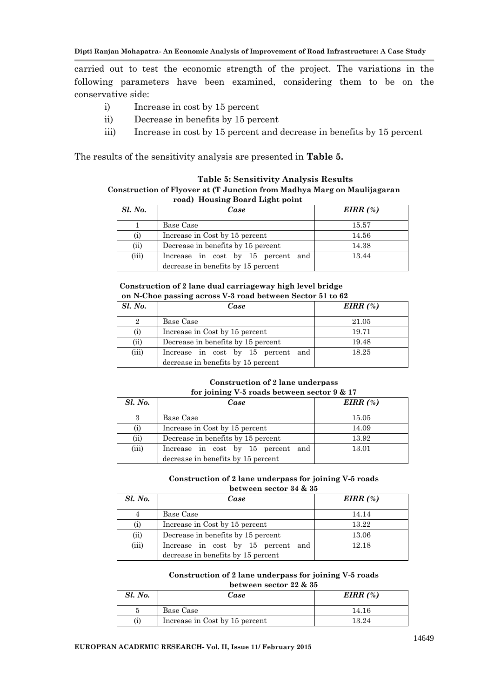carried out to test the economic strength of the project. The variations in the following parameters have been examined, considering them to be on the conservative side:

- i) Increase in cost by 15 percent
- ii) Decrease in benefits by 15 percent
- iii) Increase in cost by 15 percent and decrease in benefits by 15 percent

The results of the sensitivity analysis are presented in **Table 5.**

#### **Table 5: Sensitivity Analysis Results Construction of Flyover at (T Junction from Madhya Marg on Maulijagaran road) Housing Board Light point**

| <b>Sl. No.</b> | Case                               | EIRR $(\%)$ |
|----------------|------------------------------------|-------------|
|                | Base Case                          | 15.57       |
|                | Increase in Cost by 15 percent     | 14.56       |
| (ii)           | Decrease in benefits by 15 percent | 14.38       |
| (iii)          | Increase in cost by 15 percent and | 13.44       |
|                | decrease in benefits by 15 percent |             |

#### **Construction of 2 lane dual carriageway high level bridge on N-Choe passing across V-3 road between Sector 51 to 62**

| <b>Sl. No.</b> | Case                               | EIRR $(\%)$ |
|----------------|------------------------------------|-------------|
|                | Base Case                          | 21.05       |
| (i)            | Increase in Cost by 15 percent     | 19.71       |
| (i)            | Decrease in benefits by 15 percent | 19.48       |
| (iii)          | Increase in cost by 15 percent and | 18.25       |
|                | decrease in benefits by 15 percent |             |

#### **Construction of 2 lane underpass for joining V-5 roads between sector 9 & 17**

| Sl. No. | Case                                                                        | EIRR $(\%)$ |
|---------|-----------------------------------------------------------------------------|-------------|
|         | Base Case                                                                   | 15.05       |
|         | Increase in Cost by 15 percent                                              | 14.09       |
| (ii)    | Decrease in benefits by 15 percent                                          | 13.92       |
| (iii)   | Increase in cost by 15 percent<br>and<br>decrease in benefits by 15 percent | 13.01       |

#### **Construction of 2 lane underpass for joining V-5 roads between sector 34 & 35**

| Sl. No.  | Case                               | EIRR $(\%)$ |
|----------|------------------------------------|-------------|
|          | Base Case                          | 14.14       |
| $\rm(i)$ | Increase in Cost by 15 percent     | 13.22       |
| (ii)     | Decrease in benefits by 15 percent | 13.06       |
| (iii)    | Increase in cost by 15 percent and | 12.18       |
|          | decrease in benefits by 15 percent |             |

#### **Construction of 2 lane underpass for joining V-5 roads between sector 22 & 35**

| Sl. No. | Case                           | EIRR $(\%)$ |
|---------|--------------------------------|-------------|
|         | Base Case                      | 14.16       |
|         | Increase in Cost by 15 percent | 13.24       |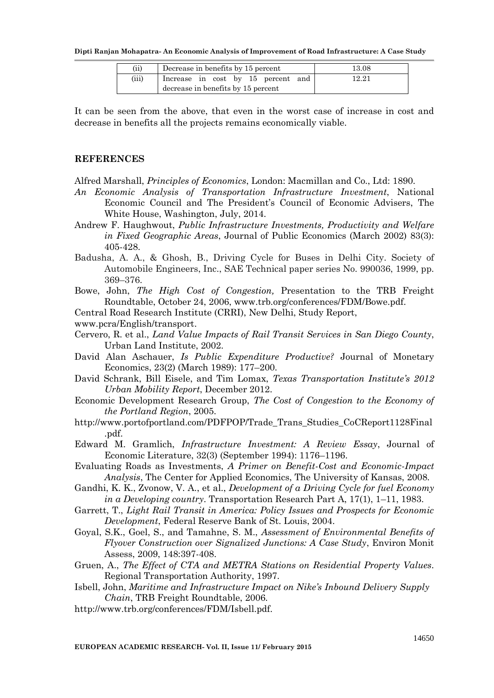| (ii)  | Decrease in benefits by 15 percent | 13.08 |
|-------|------------------------------------|-------|
| (iii) | Increase in cost by 15 percent and | 12.21 |
|       | decrease in benefits by 15 percent |       |

It can be seen from the above, that even in the worst case of increase in cost and decrease in benefits all the projects remains economically viable.

### **REFERENCES**

Alfred Marshall, *Principles of Economics*, London: Macmillan and Co., Ltd: 1890.

- *An Economic Analysis of Transportation Infrastructure Investment*, National Economic Council and The President's Council of Economic Advisers, The White House, Washington, July, 2014.
- Andrew F. Haughwout, *Public Infrastructure Investments, Productivity and Welfare in Fixed Geographic Areas*, Journal of Public Economics (March 2002) 83(3): 405-428.
- Badusha, A. A., & Ghosh, B., Driving Cycle for Buses in Delhi City. Society of Automobile Engineers, Inc., SAE Technical paper series No. 990036, 1999, pp. 369–376.
- Bowe, John, *The High Cost of Congestion,* Presentation to the TRB Freight Roundtable, October 24, 2006, www.trb.org/conferences/FDM/Bowe.pdf.

Central Road Research Institute (CRRI), New Delhi, Study Report,

- www.pcra/English/transport.
- Cervero, R. et al., *Land Value Impacts of Rail Transit Services in San Diego County*, Urban Land Institute, 2002.
- David Alan Aschauer, *Is Public Expenditure Productive?* Journal of Monetary Economics, 23(2) (March 1989): 177–200.
- David Schrank, Bill Eisele, and Tim Lomax, *Texas Transportation Institute's 2012 Urban Mobility Report*, December 2012.
- Economic Development Research Group, *The Cost of Congestion to the Economy of the Portland Region*, 2005.
- http://www.portofportland.com/PDFPOP/Trade\_Trans\_Studies\_CoCReport1128Final .pdf.
- Edward M. Gramlich, *Infrastructure Investment: A Review Essay*, Journal of Economic Literature, 32(3) (September 1994): 1176–1196.
- Evaluating Roads as Investments, *A Primer on Benefit-Cost and Economic-Impact Analysis*, The Center for Applied Economics, The University of Kansas, 2008.
- Gandhi, K. K., Zvonow, V. A., et al., *Development of a Driving Cycle for fuel Economy in a Developing country*. Transportation Research Part A, 17(1), 1–11, 1983.
- Garrett, T., *Light Rail Transit in America: Policy Issues and Prospects for Economic Development*, Federal Reserve Bank of St. Louis, 2004.
- Goyal, S.K., Goel, S., and Tamahne, S. M., *Assessment of Environmental Benefits of Flyover Construction over Signalized Junctions: A Case Study*, Environ Monit Assess, 2009, 148:397-408.
- Gruen, A., *The Effect of CTA and METRA Stations on Residential Property Values*. Regional Transportation Authority, 1997.

Isbell, John, *Maritime and Infrastructure Impact on Nike's Inbound Delivery Supply Chain*, TRB Freight Roundtable, 2006.

http://www.trb.org/conferences/FDM/Isbell.pdf.